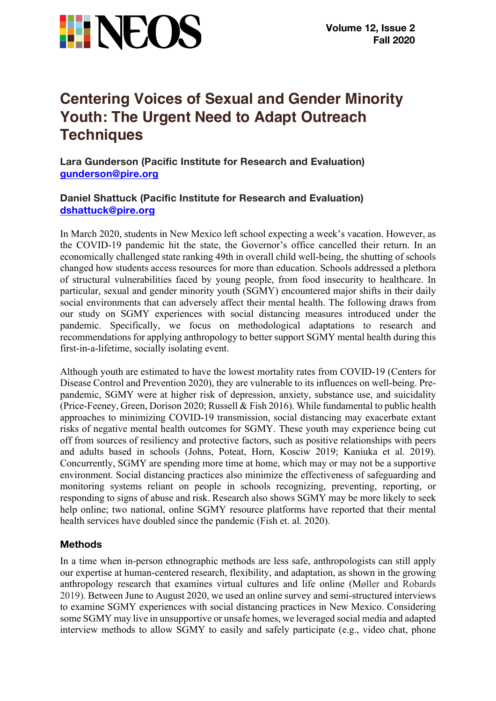

# **Centering Voices of Sexual and Gender Minority Youth: The Urgent Need to Adapt Outreach Techniques**

**Lara Gunderson (Pacific Institute for Research and Evaluation) gunderson@pire.org**

# **Daniel Shattuck (Pacific Institute for Research and Evaluation) dshattuck@pire.org**

In March 2020, students in New Mexico left school expecting a week's vacation. However, as the COVID-19 pandemic hit the state, the Governor's office cancelled their return. In an economically challenged state ranking 49th in overall child well-being, the shutting of schools changed how students access resources for more than education. Schools addressed a plethora of structural vulnerabilities faced by young people, from food insecurity to healthcare. In particular, sexual and gender minority youth (SGMY) encountered major shifts in their daily social environments that can adversely affect their mental health. The following draws from our study on SGMY experiences with social distancing measures introduced under the pandemic. Specifically, we focus on methodological adaptations to research and recommendations for applying anthropology to better support SGMY mental health during this first-in-a-lifetime, socially isolating event.

Although youth are estimated to have the lowest mortality rates from COVID-19 (Centers for Disease Control and Prevention 2020), they are vulnerable to its influences on well-being. Prepandemic, SGMY were at higher risk of depression, anxiety, substance use, and suicidality (Price-Feeney, Green, Dorison 2020; Russell & Fish 2016). While fundamental to public health approaches to minimizing COVID-19 transmission, social distancing may exacerbate extant risks of negative mental health outcomes for SGMY. These youth may experience being cut off from sources of resiliency and protective factors, such as positive relationships with peers and adults based in schools (Johns, Poteat, Horn, Kosciw 2019; Kaniuka et al. 2019). Concurrently, SGMY are spending more time at home, which may or may not be a supportive environment. Social distancing practices also minimize the effectiveness of safeguarding and monitoring systems reliant on people in schools recognizing, preventing, reporting, or responding to signs of abuse and risk. Research also shows SGMY may be more likely to seek help online; two national, online SGMY resource platforms have reported that their mental health services have doubled since the pandemic (Fish et. al. 2020).

## **Methods**

In a time when in-person ethnographic methods are less safe, anthropologists can still apply our expertise at human-centered research, flexibility, and adaptation, as shown in the growing anthropology research that examines virtual cultures and life online (Møller and Robards 2019). Between June to August 2020, we used an online survey and semi-structured interviews to examine SGMY experiences with social distancing practices in New Mexico. Considering some SGMY may live in unsupportive or unsafe homes, we leveraged social media and adapted interview methods to allow SGMY to easily and safely participate (e.g., video chat, phone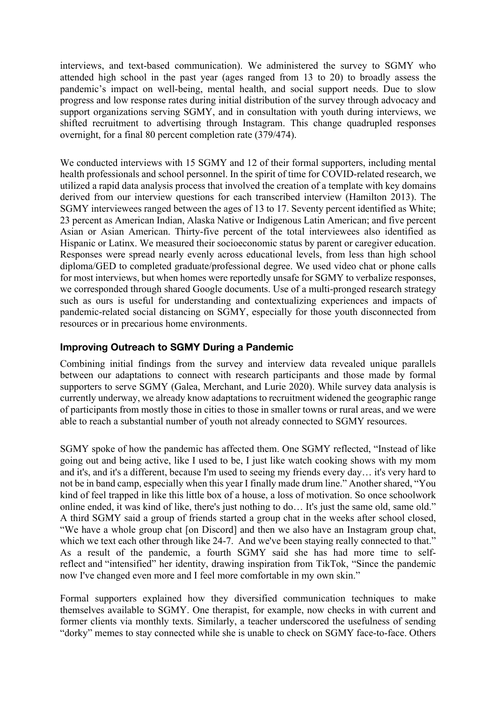interviews, and text-based communication). We administered the survey to SGMY who attended high school in the past year (ages ranged from 13 to 20) to broadly assess the pandemic's impact on well-being, mental health, and social support needs. Due to slow progress and low response rates during initial distribution of the survey through advocacy and support organizations serving SGMY, and in consultation with youth during interviews, we shifted recruitment to advertising through Instagram. This change quadrupled responses overnight, for a final 80 percent completion rate (379/474).

We conducted interviews with 15 SGMY and 12 of their formal supporters, including mental health professionals and school personnel. In the spirit of time for COVID-related research, we utilized a rapid data analysis process that involved the creation of a template with key domains derived from our interview questions for each transcribed interview (Hamilton 2013). The SGMY interviewees ranged between the ages of 13 to 17. Seventy percent identified as White; 23 percent as American Indian, Alaska Native or Indigenous Latin American; and five percent Asian or Asian American. Thirty-five percent of the total interviewees also identified as Hispanic or Latinx. We measured their socioeconomic status by parent or caregiver education. Responses were spread nearly evenly across educational levels, from less than high school diploma/GED to completed graduate/professional degree. We used video chat or phone calls for most interviews, but when homes were reportedly unsafe for SGMY to verbalize responses, we corresponded through shared Google documents. Use of a multi-pronged research strategy such as ours is useful for understanding and contextualizing experiences and impacts of pandemic-related social distancing on SGMY, especially for those youth disconnected from resources or in precarious home environments.

## **Improving Outreach to SGMY During a Pandemic**

Combining initial findings from the survey and interview data revealed unique parallels between our adaptations to connect with research participants and those made by formal supporters to serve SGMY (Galea, Merchant, and Lurie 2020). While survey data analysis is currently underway, we already know adaptations to recruitment widened the geographic range of participants from mostly those in cities to those in smaller towns or rural areas, and we were able to reach a substantial number of youth not already connected to SGMY resources.

SGMY spoke of how the pandemic has affected them. One SGMY reflected, "Instead of like going out and being active, like I used to be, I just like watch cooking shows with my mom and it's, and it's a different, because I'm used to seeing my friends every day… it's very hard to not be in band camp, especially when this year I finally made drum line." Another shared, "You kind of feel trapped in like this little box of a house, a loss of motivation. So once schoolwork online ended, it was kind of like, there's just nothing to do… It's just the same old, same old." A third SGMY said a group of friends started a group chat in the weeks after school closed, "We have a whole group chat [on Discord] and then we also have an Instagram group chat, which we text each other through like 24-7. And we've been staying really connected to that." As a result of the pandemic, a fourth SGMY said she has had more time to selfreflect and "intensified" her identity, drawing inspiration from TikTok, "Since the pandemic now I've changed even more and I feel more comfortable in my own skin."

Formal supporters explained how they diversified communication techniques to make themselves available to SGMY. One therapist, for example, now checks in with current and former clients via monthly texts. Similarly, a teacher underscored the usefulness of sending "dorky" memes to stay connected while she is unable to check on SGMY face-to-face. Others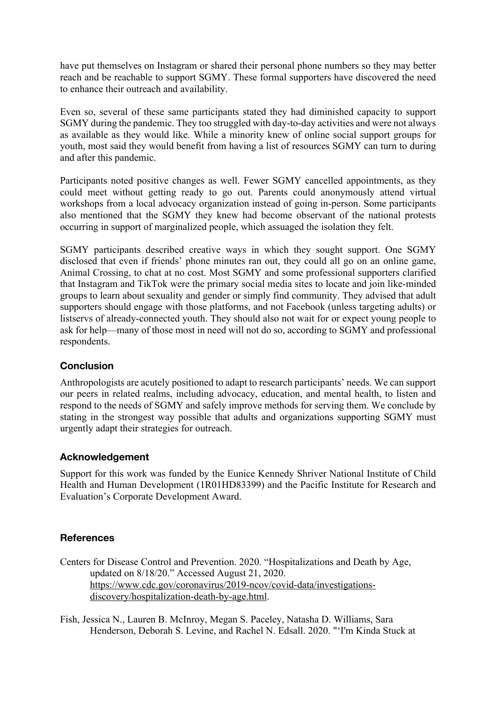have put themselves on Instagram or shared their personal phone numbers so they may better reach and be reachable to support SGMY. These formal supporters have discovered the need to enhance their outreach and availability.

Even so, several of these same participants stated they had diminished capacity to support SGMY during the pandemic. They too struggled with day-to-day activities and were not always as available as they would like. While a minority knew of online social support groups for youth, most said they would benefit from having a list of resources SGMY can turn to during and after this pandemic.

Participants noted positive changes as well. Fewer SGMY cancelled appointments, as they could meet without getting ready to go out. Parents could anonymously attend virtual workshops from a local advocacy organization instead of going in-person. Some participants also mentioned that the SGMY they knew had become observant of the national protests occurring in support of marginalized people, which assuaged the isolation they felt.

SGMY participants described creative ways in which they sought support. One SGMY disclosed that even if friends' phone minutes ran out, they could all go on an online game, Animal Crossing, to chat at no cost. Most SGMY and some professional supporters clarified that Instagram and TikTok were the primary social media sites to locate and join like-minded groups to learn about sexuality and gender or simply find community. They advised that adult supporters should engage with those platforms, and not Facebook (unless targeting adults) or listservs of already-connected youth. They should also not wait for or expect young people to ask for help—many of those most in need will not do so, according to SGMY and professional respondents.

## **Conclusion**

Anthropologists are acutely positioned to adapt to research participants' needs. We can support our peers in related realms, including advocacy, education, and mental health, to listen and respond to the needs of SGMY and safely improve methods for serving them. We conclude by stating in the strongest way possible that adults and organizations supporting SGMY must urgently adapt their strategies for outreach.

## **Acknowledgement**

Support for this work was funded by the Eunice Kennedy Shriver National Institute of Child Health and Human Development (1R01HD83399) and the Pacific Institute for Research and Evaluation's Corporate Development Award.

# **References**

- Centers for Disease Control and Prevention. 2020. "Hospitalizations and Death by Age, updated on 8/18/20." Accessed August 21, 2020. https://www.cdc.gov/coronavirus/2019-ncov/covid-data/investigationsdiscovery/hospitalization-death-by-age.html.
- Fish, Jessica N., Lauren B. McInroy, Megan S. Paceley, Natasha D. Williams, Sara Henderson, Deborah S. Levine, and Rachel N. Edsall. 2020. "'I'm Kinda Stuck at